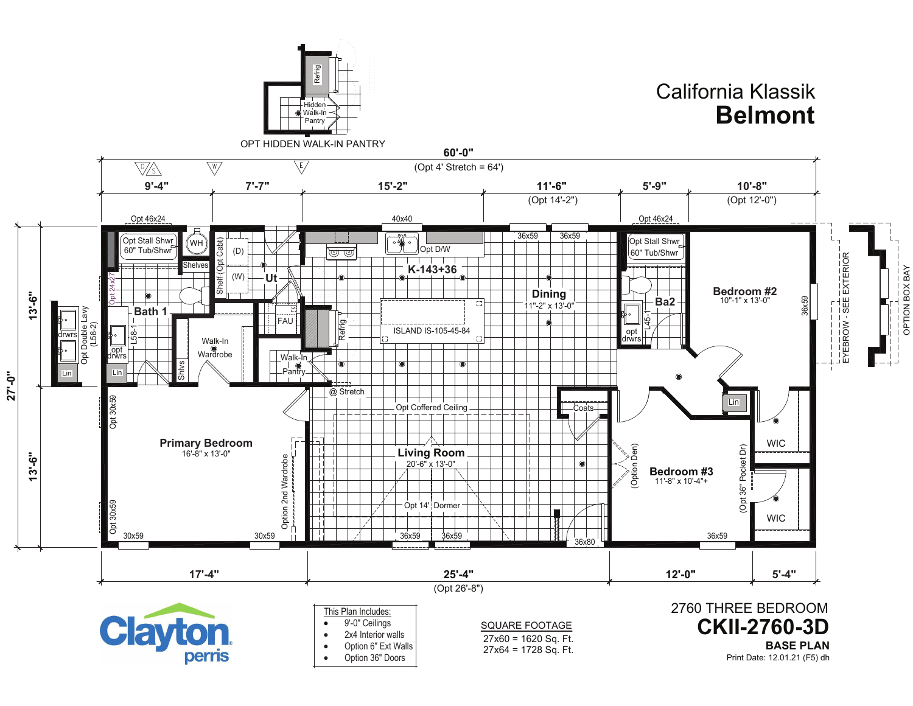